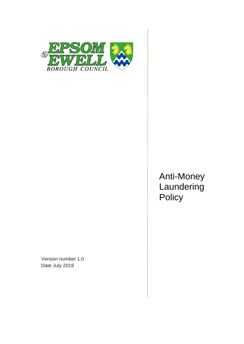

Version number 1.0 Date July 2019

Anti-Money Laundering **Policy**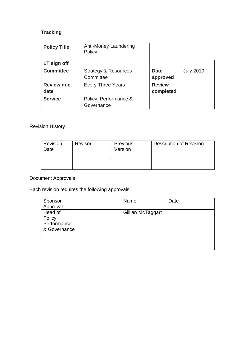# **Tracking**

| <b>Policy Title</b>       | Anti-Money Laundering<br>Policy              |                            |                  |
|---------------------------|----------------------------------------------|----------------------------|------------------|
| LT sign off               |                                              |                            |                  |
| <b>Committee</b>          | <b>Strategy &amp; Resources</b><br>Committee | <b>Date</b><br>approved    | <b>July 2019</b> |
| <b>Review due</b><br>date | <b>Every Three Years</b>                     | <b>Review</b><br>completed |                  |
| <b>Service</b>            | Policy, Performance &<br>Governance          |                            |                  |

## Revision History

| Revision<br>Date | Revisor | <b>Previous</b><br>Version | <b>Description of Revision</b> |
|------------------|---------|----------------------------|--------------------------------|
|                  |         |                            |                                |
|                  |         |                            |                                |
|                  |         |                            |                                |

# Document Approvals

Each revision requires the following approvals:

| Sponsor      | Name              | Date |
|--------------|-------------------|------|
| Approval     |                   |      |
| Head of      | Gillian McTaggart |      |
| Policy,      |                   |      |
| Performance  |                   |      |
| & Governance |                   |      |
|              |                   |      |
|              |                   |      |
|              |                   |      |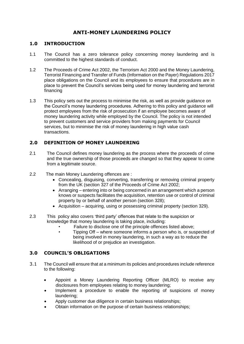### **ANTI-MONEY LAUNDERING POLICY**

#### **1.0 INTRODUCTION**

- 1.1 The Council has a zero tolerance policy concerning money laundering and is committed to the highest standards of conduct.
- 1.2 The Proceeds of Crime Act 2002, the Terrorism Act 2000 and the Money Laundering, Terrorist Financing and Transfer of Funds (Information on the Payer) Regulations 2017 place obligations on the Council and its employees to ensure that procedures are in place to prevent the Council's services being used for money laundering and terrorist financing
- 1.3 This policy sets out the process to minimise the risk, as well as provide guidance on the Council's money laundering procedures. Adhering to this policy and guidance will protect employees from the risk of prosecution if an employee becomes aware of money laundering activity while employed by the Council. The policy is not intended to prevent customers and service providers from making payments for Council services, but to minimise the risk of money laundering in high value cash transactions.

#### **2.0 DEFINITION OF MONEY LAUNDERING**

- 2.1 The Council defines money laundering as the process where the proceeds of crime and the true ownership of those proceeds are changed so that they appear to come from a legitimate source.
- 2.2 The main Money Laundering offences are :
	- Concealing, disguising, converting, transferring or removing criminal property from the UK (section 327 of the Proceeds of Crime Act 2002;
	- Arranging entering into or being concerned in an arrangement which a person knows or suspects facilitates the acquisition, retention use or control of criminal property by or behalf of another person (section 328);
	- Acquisition acquiring, using or possessing criminal property (section 329).
- 2.3 This policy also covers 'third party' offences that relate to the suspicion or knowledge that money laundering is taking place, including:
	- Failure to disclose one of the principle offences listed above:
	- Tipping Off where someone informs a person who is, or suspected of being involved in money laundering, in such a way as to reduce the likelihood of or prejudice an investigation.

#### **3.0 COUNCIL'S OBLIGATIONS**

- 3.1 The Council will ensure that at a minimum its policies and procedures include reference to the following:
	- Appoint a Money Laundering Reporting Officer (MLRO) to receive any disclosures from employees relating to money laundering;
	- Implement a procedure to enable the reporting of suspicions of money laundering;
	- Apply customer due diligence in certain business relationships;
	- Obtain information on the purpose of certain business relationships;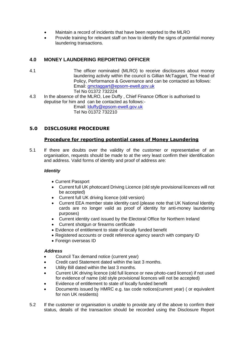- Maintain a record of incidents that have been reported to the MLRO
- Provide training for relevant staff on how to identify the signs of potential money laundering transactions.

### **4.0 MONEY LAUNDERING REPORTING OFFICER**

- 4.1 The officer nominated (MLRO) to receive disclosures about money laundering activity within the council is Gillian McTaggart, The Head of Policy, Performance & Governance and can be contacted as follows: Email: [gmctaggart@epsom-ewell.gov.uk](mailto:gmctaggart@epsom-ewell.gov.uk) Tel No 01372 732224
- 4.3 In the absence of the MLRO, Lee Duffy , Chief Finance Officer is authorised to deputise for him and can be contacted as follows:- Email: [lduffy@epsom-ewell.gov.uk](mailto:lduffy@epsom-ewell.gov.uk) Tel No 01372 732210

#### **5.0 DISCLOSURE PROCEDURE**

#### **Procedure for reporting potential cases of Money Laundering**

5.1 If there are doubts over the validity of the customer or representative of an organisation, requests should be made to at the very least confirm their identification and address. Valid forms of identity and proof of address are:

#### *Identity*

- Current Passport
- Current full UK photocard Driving Licence (old style provisional licences will not be accepted)
- Current full UK driving licence (old version)
- Current EEA member state identity card (please note that UK National Identity cards are no longer valid as proof of identity for anti-money laundering purposes)
- Current identity card issued by the Electoral Office for Northern Ireland
- Current shotgun or firearms certificate
- Evidence of entitlement to state of locally funded benefit
- Registered accounts or credit reference agency search with company ID
- Foreign overseas ID

#### *Address*

- Council Tax demand notice (current year)
- Credit card Statement dated within the last 3 months.
- Utility Bill dated within the last 3 months.
- Current UK driving licence (old full licence or new photo-card licence) if not used for evidence of name (old style provisional licences will not be accepted)
- Evidence of entitlement to state of locally funded benefit
- Documents issued by HMRC e.g. tax code notices(current year) ( or equivalent for non UK residents)
- 5.2 If the customer or organisation is unable to provide any of the above to confirm their status, details of the transaction should be recorded using the Disclosure Report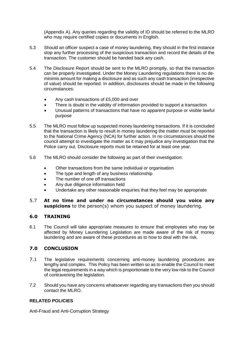(Appendix A). Any queries regarding the validity of ID should be referred to the MLRO who may require certified copies or documents in English.

- 5.3 Should an officer suspect a case of money laundering, they should in the first instance stop any further processing of the suspicious transaction and record the details of the transaction. The customer should be handed back any cash.
- 5.4 The Disclosure Report should be sent to the MLRO promptly, so that the transaction can be properly investigated. Under the Money Laundering regulations there is no deminimis amount for making a disclosure and as such any cash transaction (irrespective of value) should be reported. In addition, disclosures should be made in the following circumstances:
	- Any cash transactions of £5,000 and over
	- There is doubt in the validity of information provided to support a transaction
	- Unusual patterns of transactions that have no apparent purpose or visible lawful purpose
- 5.5 The MLRO must follow up suspected money laundering transactions. If it is concluded that the transaction is likely to result in money laundering the matter must be reported to the National Crime Agency (NCA) for further action. In no circumstances should the council attempt to investigate the matter as it may prejudice any investigation that the Police carry out. Disclosure reports must be retained for at least one year.
- 5.6 The MLRO should consider the following as part of their investigation:
	- Other transactions from the same individual or organisation
	- The type and length of any business relationship
	- The number of one off transactions
	- Any due diligence information held
	- Undertake any other reasonable enquiries that they feel may be appropriate
- 5.7 **At no time and under no circumstances should you voice any suspicions** to the person(s) whom you suspect of money laundering.

#### **6.0 TRAINING**

6.1 The Council will take appropriate measures to ensure that employees who may be affected by Money Laundering Legislation are made aware of the risk of money laundering and are aware of these procedures as to how to deal with the risk.

#### **7.0 CONCLUSION**

- 7.1 The legislative requirements concerning anti-money laundering procedures are lengthy and complex. This Policy has been written so as to enable the Council to meet the legal requirements in a way which is proportionate to the very low risk to the Council of contravening the legislation.
- 7.2 Should you have any concerns whatsoever regarding any transactions then you should contact the MLRO.

#### **RELATED POLICIES**

Anti-Fraud and Anti-Corruption Strategy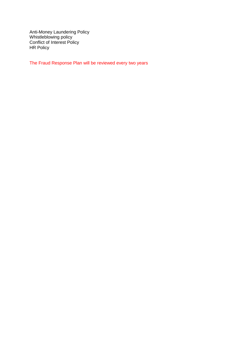Anti-Money Laundering Policy Whistleblowing policy Conflict of Interest Policy HR Policy

The Fraud Response Plan will be reviewed every two years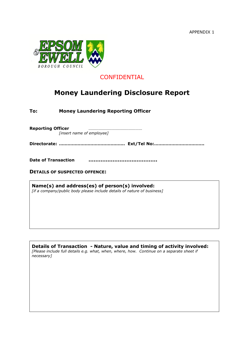APPENDIX 1



# **CONFIDENTIAL**

# **Money Laundering Disclosure Report**

**To: Money Laundering Reporting Officer**

**Reporting Officer** ………………………………………… *[insert name of employee]*

**Directorate: ………………………………………. Ext/Tel No:……………………………..**

**Date of Transaction ………………………………….**

**DETAILS OF SUSPECTED OFFENCE:**

**Name(s) and address(es) of person(s) involved:** *[if a company/public body please include details of nature of business]*

**Details of Transaction - Nature, value and timing of activity involved:** *[Please include full details e.g. what, when, where, how. Continue on a separate sheet if necessary]*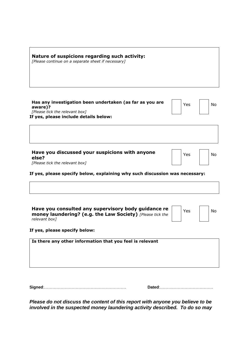| Nature of suspicions regarding such activity:<br>[Please continue on a separate sheet if necessary]                                            |     |           |
|------------------------------------------------------------------------------------------------------------------------------------------------|-----|-----------|
| Has any investigation been undertaken (as far as you are<br>aware)?<br>[Please tick the relevant box]<br>If yes, please include details below: | Yes | <b>No</b> |
|                                                                                                                                                |     |           |
| Have you discussed your suspicions with anyone<br>else?<br>[Please tick the relevant box]                                                      | Yes | No        |
| If yes, please specify below, explaining why such discussion was necessary:                                                                    |     |           |
|                                                                                                                                                |     |           |
| Have you consulted any supervisory body guidance re<br><b>money laundering? (e.g. the Law Society)</b> [Please tick the                        | Yes | No        |

**If yes, please specify below:**

*relevant box]*

| Is there any other information that you feel is relevant |  |  |  |
|----------------------------------------------------------|--|--|--|
|                                                          |  |  |  |
|                                                          |  |  |  |
|                                                          |  |  |  |

**Signed**:…………………………………………………… **Dated**:…………………………………

*Please do not discuss the content of this report with anyone you believe to be involved in the suspected money laundering activity described. To do so may*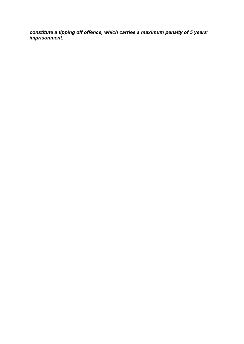*constitute a tipping off offence, which carries a maximum penalty of 5 years' imprisonment.*